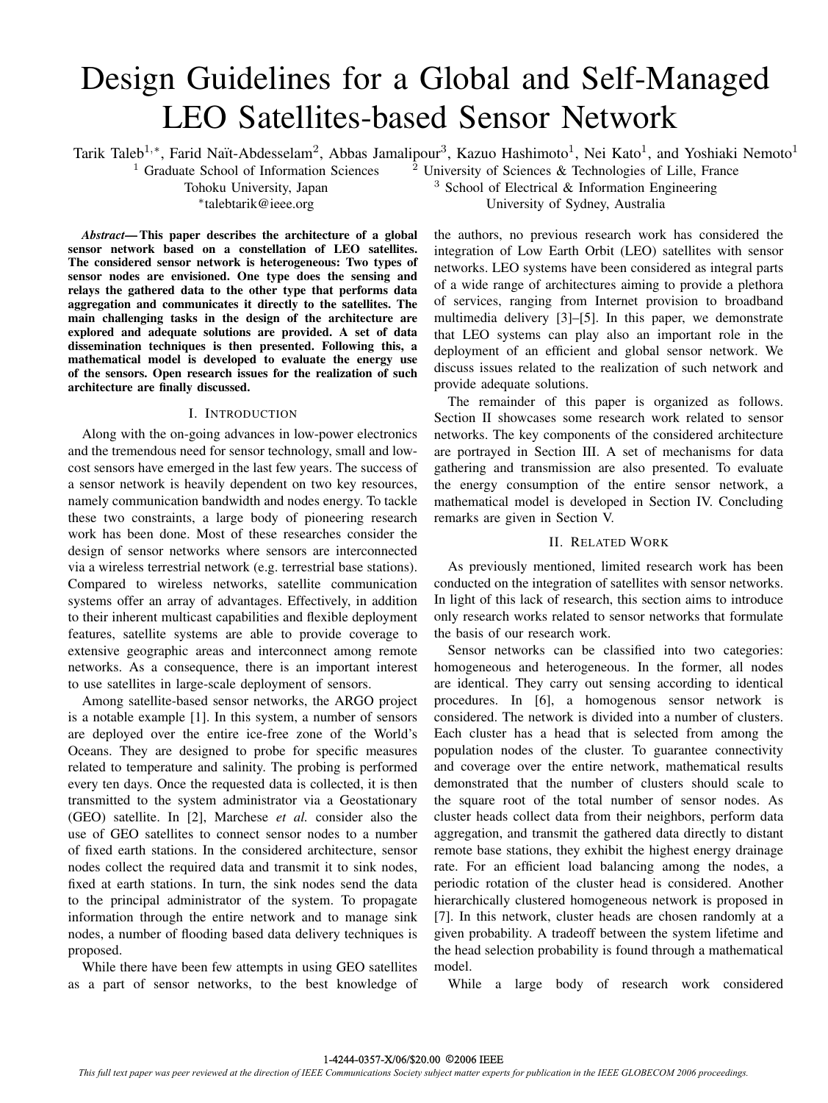# Design Guidelines for a Global and Self-Managed LEO Satellites-based Sensor Network

Tarik Taleb<sup>1,∗</sup>, Farid Naït-Abdesselam<sup>2</sup>, Abbas Jamalipour<sup>3</sup>, Kazuo Hashimoto<sup>1</sup>, Nei Kato<sup>1</sup>, and Yoshiaki Nemoto<sup>1</sup><sup>1</sup> Graduate School of Information Sciences<sup>2</sup> University of Sciences & Technologies of Lille, France

*Abstract***— This paper describes the architecture of a global sensor network based on a constellation of LEO satellites. The considered sensor network is heterogeneous: Two types of sensor nodes are envisioned. One type does the sensing and relays the gathered data to the other type that performs data aggregation and communicates it directly to the satellites. The main challenging tasks in the design of the architecture are explored and adequate solutions are provided. A set of data dissemination techniques is then presented. Following this, a mathematical model is developed to evaluate the energy use of the sensors. Open research issues for the realization of such architecture are finally discussed.**

## I. INTRODUCTION

Along with the on-going advances in low-power electronics and the tremendous need for sensor technology, small and lowcost sensors have emerged in the last few years. The success of a sensor network is heavily dependent on two key resources, namely communication bandwidth and nodes energy. To tackle these two constraints, a large body of pioneering research work has been done. Most of these researches consider the design of sensor networks where sensors are interconnected via a wireless terrestrial network (e.g. terrestrial base stations). Compared to wireless networks, satellite communication systems offer an array of advantages. Effectively, in addition to their inherent multicast capabilities and flexible deployment features, satellite systems are able to provide coverage to extensive geographic areas and interconnect among remote networks. As a consequence, there is an important interest to use satellites in large-scale deployment of sensors.

Among satellite-based sensor networks, the ARGO project is a notable example [1]. In this system, a number of sensors are deployed over the entire ice-free zone of the World's Oceans. They are designed to probe for specific measures related to temperature and salinity. The probing is performed every ten days. Once the requested data is collected, it is then transmitted to the system administrator via a Geostationary (GEO) satellite. In [2], Marchese *et al.* consider also the use of GEO satellites to connect sensor nodes to a number of fixed earth stations. In the considered architecture, sensor nodes collect the required data and transmit it to sink nodes, fixed at earth stations. In turn, the sink nodes send the data to the principal administrator of the system. To propagate information through the entire network and to manage sink nodes, a number of flooding based data delivery techniques is proposed.

While there have been few attempts in using GEO satellites as a part of sensor networks, to the best knowledge of

University of Sciences & Technologies of Lille, France Tohoku University, Japan  $\frac{3}{3}$  School of Electrical & Information Engineering ∗talebtarik@ieee.org University of Sydney, Australia

> the authors, no previous research work has considered the integration of Low Earth Orbit (LEO) satellites with sensor networks. LEO systems have been considered as integral parts of a wide range of architectures aiming to provide a plethora of services, ranging from Internet provision to broadband multimedia delivery [3]–[5]. In this paper, we demonstrate that LEO systems can play also an important role in the deployment of an efficient and global sensor network. We discuss issues related to the realization of such network and provide adequate solutions.

> The remainder of this paper is organized as follows. Section II showcases some research work related to sensor networks. The key components of the considered architecture are portrayed in Section III. A set of mechanisms for data gathering and transmission are also presented. To evaluate the energy consumption of the entire sensor network, a mathematical model is developed in Section IV. Concluding remarks are given in Section V.

## II. RELATED WORK

As previously mentioned, limited research work has been conducted on the integration of satellites with sensor networks. In light of this lack of research, this section aims to introduce only research works related to sensor networks that formulate the basis of our research work.

Sensor networks can be classified into two categories: homogeneous and heterogeneous. In the former, all nodes are identical. They carry out sensing according to identical procedures. In [6], a homogenous sensor network is considered. The network is divided into a number of clusters. Each cluster has a head that is selected from among the population nodes of the cluster. To guarantee connectivity and coverage over the entire network, mathematical results demonstrated that the number of clusters should scale to the square root of the total number of sensor nodes. As cluster heads collect data from their neighbors, perform data aggregation, and transmit the gathered data directly to distant remote base stations, they exhibit the highest energy drainage rate. For an efficient load balancing among the nodes, a periodic rotation of the cluster head is considered. Another hierarchically clustered homogeneous network is proposed in [7]. In this network, cluster heads are chosen randomly at a given probability. A tradeoff between the system lifetime and the head selection probability is found through a mathematical model.

While a large body of research work considered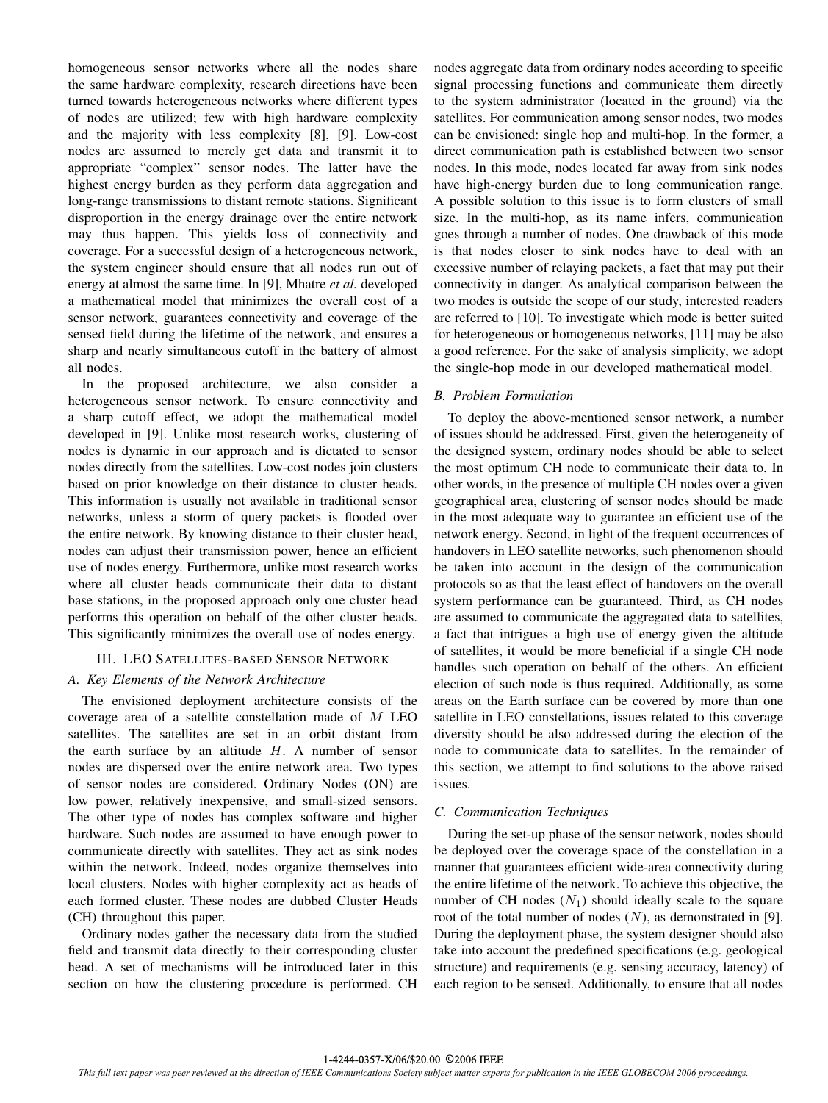homogeneous sensor networks where all the nodes share the same hardware complexity, research directions have been turned towards heterogeneous networks where different types of nodes are utilized; few with high hardware complexity and the majority with less complexity [8], [9]. Low-cost nodes are assumed to merely get data and transmit it to appropriate "complex" sensor nodes. The latter have the highest energy burden as they perform data aggregation and long-range transmissions to distant remote stations. Significant disproportion in the energy drainage over the entire network may thus happen. This yields loss of connectivity and coverage. For a successful design of a heterogeneous network, the system engineer should ensure that all nodes run out of energy at almost the same time. In [9], Mhatre *et al.* developed a mathematical model that minimizes the overall cost of a sensor network, guarantees connectivity and coverage of the sensed field during the lifetime of the network, and ensures a sharp and nearly simultaneous cutoff in the battery of almost all nodes.

In the proposed architecture, we also consider a heterogeneous sensor network. To ensure connectivity and a sharp cutoff effect, we adopt the mathematical model developed in [9]. Unlike most research works, clustering of nodes is dynamic in our approach and is dictated to sensor nodes directly from the satellites. Low-cost nodes join clusters based on prior knowledge on their distance to cluster heads. This information is usually not available in traditional sensor networks, unless a storm of query packets is flooded over the entire network. By knowing distance to their cluster head, nodes can adjust their transmission power, hence an efficient use of nodes energy. Furthermore, unlike most research works where all cluster heads communicate their data to distant base stations, in the proposed approach only one cluster head performs this operation on behalf of the other cluster heads. This significantly minimizes the overall use of nodes energy.

## III. LEO SATELLITES-BASED SENSOR NETWORK

## *A. Key Elements of the Network Architecture*

The envisioned deployment architecture consists of the coverage area of a satellite constellation made of M LEO satellites. The satellites are set in an orbit distant from the earth surface by an altitude  $H$ . A number of sensor nodes are dispersed over the entire network area. Two types of sensor nodes are considered. Ordinary Nodes (ON) are low power, relatively inexpensive, and small-sized sensors. The other type of nodes has complex software and higher hardware. Such nodes are assumed to have enough power to communicate directly with satellites. They act as sink nodes within the network. Indeed, nodes organize themselves into local clusters. Nodes with higher complexity act as heads of each formed cluster. These nodes are dubbed Cluster Heads (CH) throughout this paper.

Ordinary nodes gather the necessary data from the studied field and transmit data directly to their corresponding cluster head. A set of mechanisms will be introduced later in this section on how the clustering procedure is performed. CH nodes aggregate data from ordinary nodes according to specific signal processing functions and communicate them directly to the system administrator (located in the ground) via the satellites. For communication among sensor nodes, two modes can be envisioned: single hop and multi-hop. In the former, a direct communication path is established between two sensor nodes. In this mode, nodes located far away from sink nodes have high-energy burden due to long communication range. A possible solution to this issue is to form clusters of small size. In the multi-hop, as its name infers, communication goes through a number of nodes. One drawback of this mode is that nodes closer to sink nodes have to deal with an excessive number of relaying packets, a fact that may put their connectivity in danger. As analytical comparison between the two modes is outside the scope of our study, interested readers are referred to [10]. To investigate which mode is better suited for heterogeneous or homogeneous networks, [11] may be also a good reference. For the sake of analysis simplicity, we adopt the single-hop mode in our developed mathematical model.

### *B. Problem Formulation*

To deploy the above-mentioned sensor network, a number of issues should be addressed. First, given the heterogeneity of the designed system, ordinary nodes should be able to select the most optimum CH node to communicate their data to. In other words, in the presence of multiple CH nodes over a given geographical area, clustering of sensor nodes should be made in the most adequate way to guarantee an efficient use of the network energy. Second, in light of the frequent occurrences of handovers in LEO satellite networks, such phenomenon should be taken into account in the design of the communication protocols so as that the least effect of handovers on the overall system performance can be guaranteed. Third, as CH nodes are assumed to communicate the aggregated data to satellites, a fact that intrigues a high use of energy given the altitude of satellites, it would be more beneficial if a single CH node handles such operation on behalf of the others. An efficient election of such node is thus required. Additionally, as some areas on the Earth surface can be covered by more than one satellite in LEO constellations, issues related to this coverage diversity should be also addressed during the election of the node to communicate data to satellites. In the remainder of this section, we attempt to find solutions to the above raised issues.

## *C. Communication Techniques*

During the set-up phase of the sensor network, nodes should be deployed over the coverage space of the constellation in a manner that guarantees efficient wide-area connectivity during the entire lifetime of the network. To achieve this objective, the number of CH nodes  $(N_1)$  should ideally scale to the square root of the total number of nodes  $(N)$ , as demonstrated in [9]. During the deployment phase, the system designer should also take into account the predefined specifications (e.g. geological structure) and requirements (e.g. sensing accuracy, latency) of each region to be sensed. Additionally, to ensure that all nodes

#### 1-4244-0357-X/06/\$20.00 2006 IEEE ©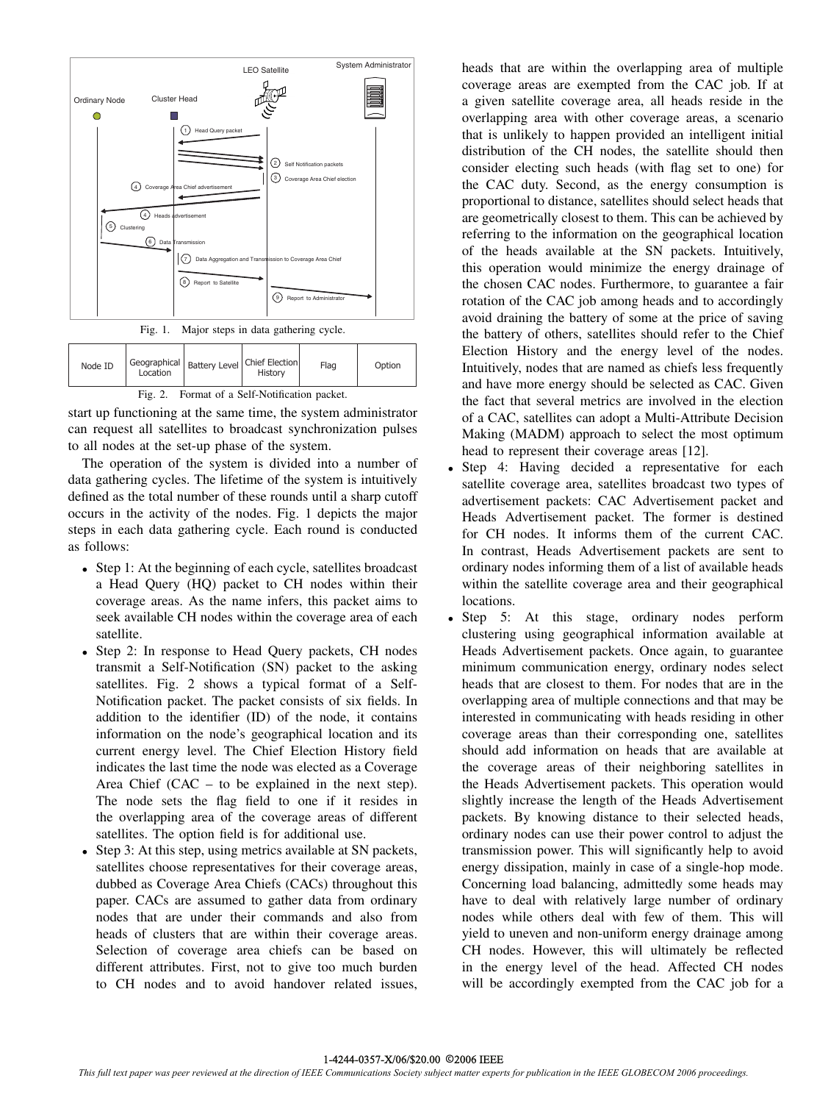

Fig. 1. Major steps in data gathering cycle.

Node

| ID                                               | Location | Geographical   Battery Level   Chief Election | History | Flag | Option |  |  |
|--------------------------------------------------|----------|-----------------------------------------------|---------|------|--------|--|--|
| Format of a Self-Notification packet.<br>Fig. 2. |          |                                               |         |      |        |  |  |

start up functioning at the same time, the system administrator can request all satellites to broadcast synchronization pulses to all nodes at the set-up phase of the system.

The operation of the system is divided into a number of data gathering cycles. The lifetime of the system is intuitively defined as the total number of these rounds until a sharp cutoff occurs in the activity of the nodes. Fig. 1 depicts the major steps in each data gathering cycle. Each round is conducted as follows:

- *•* Step 1: At the beginning of each cycle, satellites broadcast a Head Query (HQ) packet to CH nodes within their coverage areas. As the name infers, this packet aims to seek available CH nodes within the coverage area of each satellite.
- *•* Step 2: In response to Head Query packets, CH nodes transmit a Self-Notification (SN) packet to the asking satellites. Fig. 2 shows a typical format of a Self-Notification packet. The packet consists of six fields. In addition to the identifier (ID) of the node, it contains information on the node's geographical location and its current energy level. The Chief Election History field indicates the last time the node was elected as a Coverage Area Chief (CAC – to be explained in the next step). The node sets the flag field to one if it resides in the overlapping area of the coverage areas of different satellites. The option field is for additional use.
- Step 3: At this step, using metrics available at SN packets, satellites choose representatives for their coverage areas, dubbed as Coverage Area Chiefs (CACs) throughout this paper. CACs are assumed to gather data from ordinary nodes that are under their commands and also from heads of clusters that are within their coverage areas. Selection of coverage area chiefs can be based on different attributes. First, not to give too much burden to CH nodes and to avoid handover related issues,

heads that are within the overlapping area of multiple coverage areas are exempted from the CAC job. If at a given satellite coverage area, all heads reside in the overlapping area with other coverage areas, a scenario that is unlikely to happen provided an intelligent initial distribution of the CH nodes, the satellite should then consider electing such heads (with flag set to one) for the CAC duty. Second, as the energy consumption is proportional to distance, satellites should select heads that are geometrically closest to them. This can be achieved by referring to the information on the geographical location of the heads available at the SN packets. Intuitively, this operation would minimize the energy drainage of the chosen CAC nodes. Furthermore, to guarantee a fair rotation of the CAC job among heads and to accordingly avoid draining the battery of some at the price of saving the battery of others, satellites should refer to the Chief Election History and the energy level of the nodes. Intuitively, nodes that are named as chiefs less frequently and have more energy should be selected as CAC. Given the fact that several metrics are involved in the election of a CAC, satellites can adopt a Multi-Attribute Decision Making (MADM) approach to select the most optimum head to represent their coverage areas [12].

- *•* Step 4: Having decided a representative for each satellite coverage area, satellites broadcast two types of advertisement packets: CAC Advertisement packet and Heads Advertisement packet. The former is destined for CH nodes. It informs them of the current CAC. In contrast, Heads Advertisement packets are sent to ordinary nodes informing them of a list of available heads within the satellite coverage area and their geographical locations.
- Step 5: At this stage, ordinary nodes perform clustering using geographical information available at Heads Advertisement packets. Once again, to guarantee minimum communication energy, ordinary nodes select heads that are closest to them. For nodes that are in the overlapping area of multiple connections and that may be interested in communicating with heads residing in other coverage areas than their corresponding one, satellites should add information on heads that are available at the coverage areas of their neighboring satellites in the Heads Advertisement packets. This operation would slightly increase the length of the Heads Advertisement packets. By knowing distance to their selected heads, ordinary nodes can use their power control to adjust the transmission power. This will significantly help to avoid energy dissipation, mainly in case of a single-hop mode. Concerning load balancing, admittedly some heads may have to deal with relatively large number of ordinary nodes while others deal with few of them. This will yield to uneven and non-uniform energy drainage among CH nodes. However, this will ultimately be reflected in the energy level of the head. Affected CH nodes will be accordingly exempted from the CAC job for a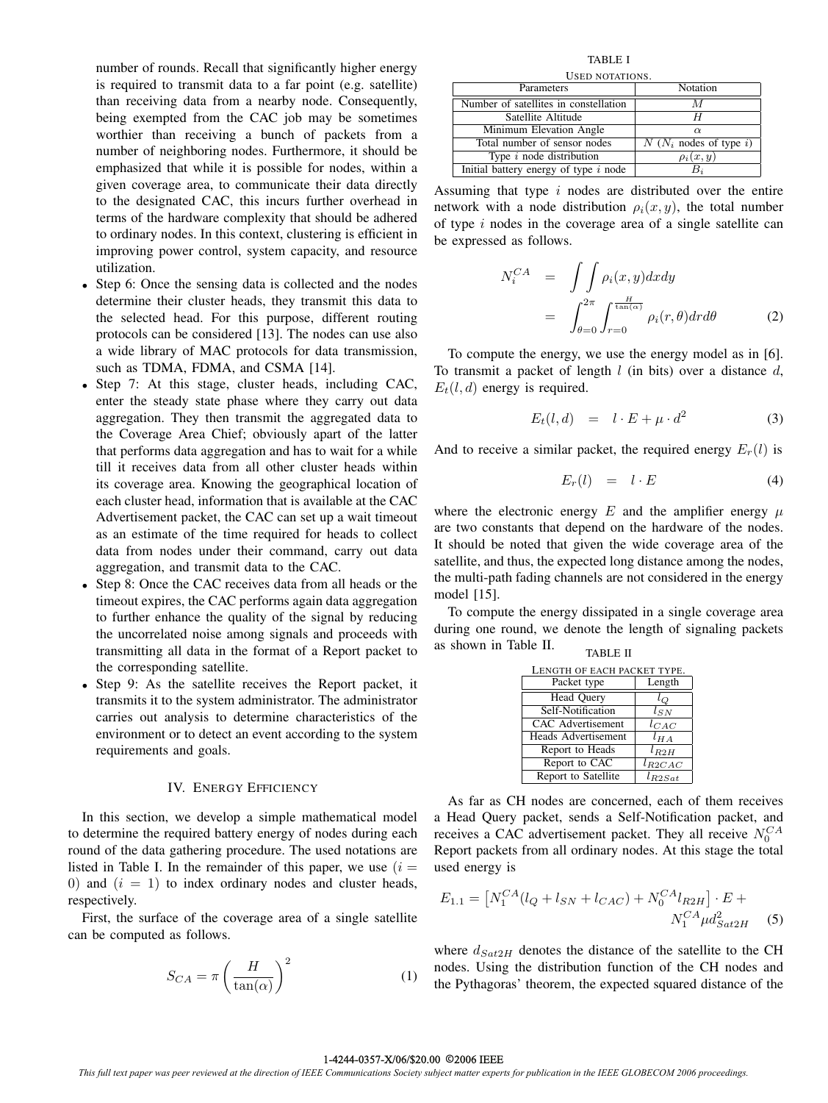number of rounds. Recall that significantly higher energy is required to transmit data to a far point (e.g. satellite) than receiving data from a nearby node. Consequently, being exempted from the CAC job may be sometimes worthier than receiving a bunch of packets from a number of neighboring nodes. Furthermore, it should be emphasized that while it is possible for nodes, within a given coverage area, to communicate their data directly to the designated CAC, this incurs further overhead in terms of the hardware complexity that should be adhered to ordinary nodes. In this context, clustering is efficient in improving power control, system capacity, and resource utilization.

- Step 6: Once the sensing data is collected and the nodes determine their cluster heads, they transmit this data to the selected head. For this purpose, different routing protocols can be considered [13]. The nodes can use also a wide library of MAC protocols for data transmission, such as TDMA, FDMA, and CSMA [14].
- *•* Step 7: At this stage, cluster heads, including CAC, enter the steady state phase where they carry out data aggregation. They then transmit the aggregated data to the Coverage Area Chief; obviously apart of the latter that performs data aggregation and has to wait for a while till it receives data from all other cluster heads within its coverage area. Knowing the geographical location of each cluster head, information that is available at the CAC Advertisement packet, the CAC can set up a wait timeout as an estimate of the time required for heads to collect data from nodes under their command, carry out data aggregation, and transmit data to the CAC.
- *•* Step 8: Once the CAC receives data from all heads or the timeout expires, the CAC performs again data aggregation to further enhance the quality of the signal by reducing the uncorrelated noise among signals and proceeds with transmitting all data in the format of a Report packet to the corresponding satellite.
- *•* Step 9: As the satellite receives the Report packet, it transmits it to the system administrator. The administrator carries out analysis to determine characteristics of the environment or to detect an event according to the system requirements and goals.

## IV. ENERGY EFFICIENCY

In this section, we develop a simple mathematical model to determine the required battery energy of nodes during each round of the data gathering procedure. The used notations are listed in Table I. In the remainder of this paper, we use  $(i =$ 0) and  $(i = 1)$  to index ordinary nodes and cluster heads, respectively.

First, the surface of the coverage area of a single satellite can be computed as follows.

$$
S_{CA} = \pi \left(\frac{H}{\tan(\alpha)}\right)^2 \tag{1}
$$

TABLE I USED NOTATIONS.

| Parameters                              | Notation                 |  |  |  |
|-----------------------------------------|--------------------------|--|--|--|
| Number of satellites in constellation   | M                        |  |  |  |
| Satellite Altitude                      |                          |  |  |  |
| Minimum Elevation Angle                 | $\alpha$                 |  |  |  |
| Total number of sensor nodes            | $N(N_i$ nodes of type i) |  |  |  |
| Type $i$ node distribution              | $\rho_i(x,y)$            |  |  |  |
| Initial battery energy of type $i$ node |                          |  |  |  |
|                                         |                          |  |  |  |

Assuming that type  $i$  nodes are distributed over the entire network with a node distribution  $\rho_i(x, y)$ , the total number of type  $i$  nodes in the coverage area of a single satellite can be expressed as follows.

$$
N_i^{CA} = \int \int \rho_i(x, y) dx dy
$$
  
= 
$$
\int_{\theta=0}^{2\pi} \int_{r=0}^{\frac{H}{\tan(\alpha)}} \rho_i(r, \theta) dr d\theta
$$
 (2)

To compute the energy, we use the energy model as in [6]. To transmit a packet of length  $l$  (in bits) over a distance  $d$ ,  $E_t(l, d)$  energy is required.

$$
E_t(l,d) = l \cdot E + \mu \cdot d^2 \tag{3}
$$

And to receive a similar packet, the required energy  $E_r(l)$  is

$$
E_r(l) = l \cdot E \tag{4}
$$

where the electronic energy  $E$  and the amplifier energy  $\mu$ are two constants that depend on the hardware of the nodes. It should be noted that given the wide coverage area of the satellite, and thus, the expected long distance among the nodes, the multi-path fading channels are not considered in the energy model [15].

To compute the energy dissipated in a single coverage area during one round, we denote the length of signaling packets as shown in Table II. TABLE II

| LENGTH OF EACH PACKET TYPE. |             |  |  |  |
|-----------------------------|-------------|--|--|--|
| Packet type                 | Length      |  |  |  |
| Head Query                  | lο          |  |  |  |
| Self-Notification           | $l_{SN}$    |  |  |  |
| CAC Advertisement           | $l_{CAC}$   |  |  |  |
| <b>Heads Advertisement</b>  | $l_{HA}$    |  |  |  |
| Report to Heads             | $l_{R2H}$   |  |  |  |
| Report to CAC               | $l_{R2CAC}$ |  |  |  |
| Report to Satellite         | $l_{R2Sat}$ |  |  |  |

As far as CH nodes are concerned, each of them receives a Head Query packet, sends a Self-Notification packet, and receives a CAC advertisement packet. They all receive  $N_0^{CA}$ Report packets from all ordinary nodes. At this stage the total used energy is

$$
E_{1.1} = \left[ N_1^{CA} (l_Q + l_{SN} + l_{CAC}) + N_0^{CA} l_{R2H} \right] \cdot E + N_1^{CA} \mu d_{Sat2H}^2 \tag{5}
$$

where  $d_{Sat2H}$  denotes the distance of the satellite to the CH nodes. Using the distribution function of the CH nodes and the Pythagoras' theorem, the expected squared distance of the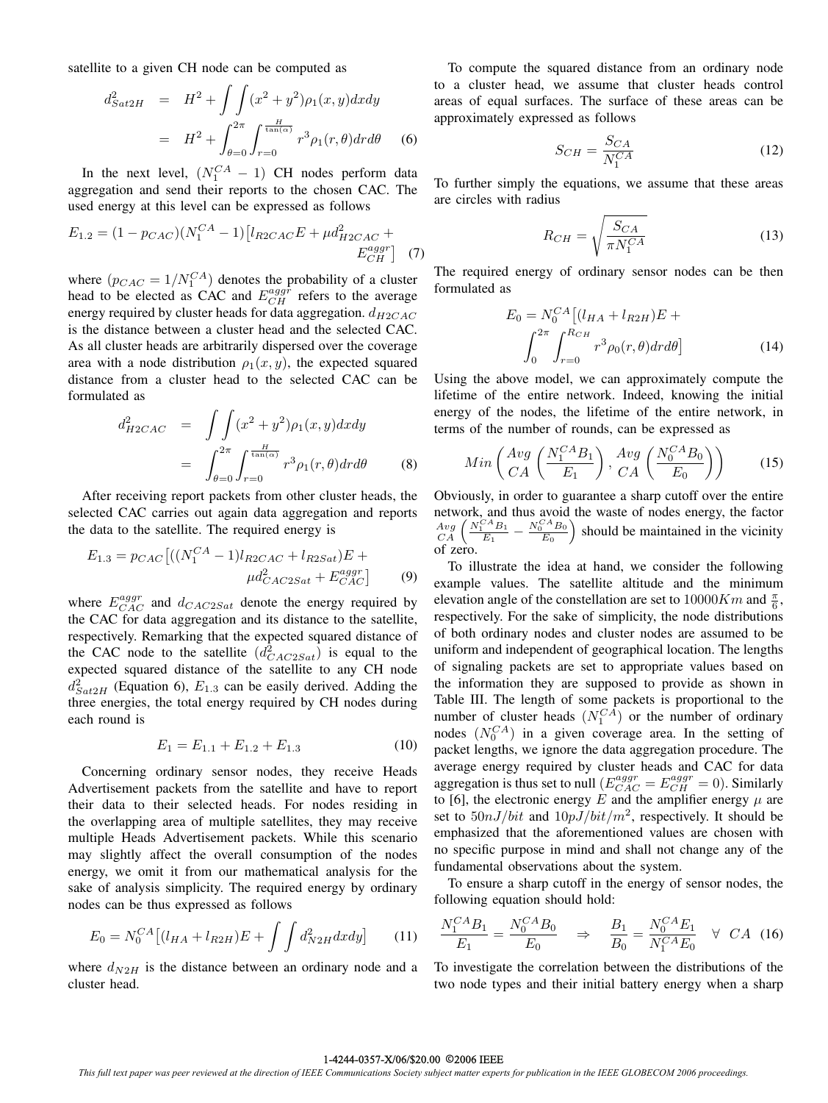satellite to a given CH node can be computed as

$$
d_{Sat2H}^2 = H^2 + \int \int (x^2 + y^2) \rho_1(x, y) dx dy
$$
  
=  $H^2 + \int_{\theta=0}^{2\pi} \int_{r=0}^{\frac{H}{\tan(\alpha)}} r^3 \rho_1(r, \theta) dr d\theta$  (6)

In the next level,  $(N_1^{CA} - 1)$  CH nodes perform data<br>gregation and send their reports to the chosen CAC. The aggregation and send their reports to the chosen CAC. The used energy at this level can be expressed as follows

$$
E_{1.2} = (1 - p_{CAC})(N_1^{CA} - 1)[l_{R2CAC}E + \mu d_{H2CAC}^2 + E_{CH}^{aggr}] \tag{7}
$$

where  $(p_{CAC} = 1/N_1^{CA})$  denotes the probability of a cluster<br>head to be elected as CAC and  $E_{CH}^{aggr}$  refers to the average<br>energy required by cluster heads for data aggregation ding to energy required by cluster heads for data aggregation.  $d_{H2CAC}$ is the distance between a cluster head and the selected CAC. As all cluster heads are arbitrarily dispersed over the coverage area with a node distribution  $\rho_1(x, y)$ , the expected squared distance from a cluster head to the selected CAC can be formulated as

$$
d_{H2CAC}^2 = \int \int (x^2 + y^2) \rho_1(x, y) dx dy
$$

$$
= \int_{\theta=0}^{2\pi} \int_{r=0}^{\frac{H}{\tan(\alpha)}} r^3 \rho_1(r, \theta) dr d\theta \qquad (8)
$$

After receiving report packets from other cluster heads, the selected CAC carries out again data aggregation and reports the data to the satellite. The required energy is

$$
E_{1.3} = p_{CAC} \left[ ((N_1^{CA} - 1)l_{R2CAC} + l_{R2Sat})E + \mu d_{CAC2Sat}^2 + E_{CAC}^{aggr} \right]
$$
(9)

where  $E_{CAC}^{aggr}$  and  $d_{CAC2Sat}$  denote the energy required by<br>the CAC for data aggregation and its distance to the satellite the CAC for data aggregation and its distance to the satellite, respectively. Remarking that the expected squared distance of the CAC node to the satellite  $(d_{CAC2Sat}^2)$  is equal to the expected squared distance of the satellite to any CH node expected squared distance of the satellite to any CH node  $d_{Sat2H}^2$  (Equation 6),  $E_{1,3}$  can be easily derived. Adding the three energies, the total energy required by CH nodes during three energies, the total energy required by CH nodes during each round is

$$
E_1 = E_{1,1} + E_{1,2} + E_{1,3} \tag{10}
$$

Concerning ordinary sensor nodes, they receive Heads Advertisement packets from the satellite and have to report their data to their selected heads. For nodes residing in the overlapping area of multiple satellites, they may receive multiple Heads Advertisement packets. While this scenario may slightly affect the overall consumption of the nodes energy, we omit it from our mathematical analysis for the sake of analysis simplicity. The required energy by ordinary nodes can be thus expressed as follows

$$
E_0 = N_0^{CA} [(l_{HA} + l_{R2H})E + \int \int d_{N2H}^2 dx dy]
$$
 (11)

where  $d_{N2H}$  is the distance between an ordinary node and a cluster head.

To compute the squared distance from an ordinary node to a cluster head, we assume that cluster heads control areas of equal surfaces. The surface of these areas can be approximately expressed as follows

$$
S_{CH} = \frac{S_{CA}}{N_1^{CA}}
$$
 (12)

To further simply the equations, we assume that these areas are circles with radius

$$
R_{CH} = \sqrt{\frac{S_{CA}}{\pi N_1^{CA}}}
$$
 (13)

The required energy of ordinary sensor nodes can be then formulated as

$$
E_0 = N_0^{CA} [(l_{HA} + l_{R2H})E +
$$
  

$$
\int_0^{2\pi} \int_{r=0}^{R_{CH}} r^3 \rho_0(r,\theta) dr d\theta]
$$
 (14)

Using the above model, we can approximately compute the lifetime of the entire network. Indeed, knowing the initial energy of the nodes, the lifetime of the entire network, in terms of the number of rounds, can be expressed as

$$
Min\left(\frac{Avg}{CA}\left(\frac{N_1^{CA}B_1}{E_1}\right), \frac{Avg}{CA}\left(\frac{N_0^{CA}B_0}{E_0}\right)\right) \tag{15}
$$

Obviously, in order to guarantee a sharp cutoff over the entire network, and thus avoid the waste of nodes energy, the factor  $\frac{Avg}{CA}\left(\frac{N_{1}^{CA}B_{1}}{E_{1}}-\frac{N_{0}^{CA}B_{0}}{E_{0}}\right)$  $E<sub>0</sub>$  should be maintained in the vicinity of zero.

To illustrate the idea at hand, we consider the following example values. The satellite altitude and the minimum elevation angle of the constellation are set to  $10000Km$  and  $\frac{\pi}{6}$ ,<br>respectively. For the sake of simplicity, the node distributions respectively. For the sake of simplicity, the node distributions of both ordinary nodes and cluster nodes are assumed to be uniform and independent of geographical location. The lengths of signaling packets are set to appropriate values based on the information they are supposed to provide as shown in Table III. The length of some packets is proportional to the number of cluster heads  $(N<sub>C</sub><sup>CA</sup>)$  or the number of ordinary<br>nodes  $(N<sub>C</sub><sup>CA</sup>)$  in a given coverage area. In the setting of nodes  $(N_0^{CA})$  in a given coverage area. In the setting of packet lengths we ignore the data aggregation procedure. The packet lengths, we ignore the data aggregation procedure. The average energy required by cluster heads and CAC for data aggregation is thus set to null  $(E_{CAC}^{agger} = E_{CH}^{agger} = 0)$ . Similarly to [6], the electronic energy E and the amplifier energy  $\mu$  are set to  $50nJ/bit$  and  $10pJ/bit/m^2$ , respectively. It should be emphasized that the aforementioned values are chosen with no specific purpose in mind and shall not change any of the fundamental observations about the system.

To ensure a sharp cutoff in the energy of sensor nodes, the following equation should hold:

$$
\frac{N_1^{CA}B_1}{E_1} = \frac{N_0^{CA}B_0}{E_0} \Rightarrow \frac{B_1}{B_0} = \frac{N_0^{CA}E_1}{N_1^{CA}E_0} \quad \forall \quad CA \quad (16)
$$

To investigate the correlation between the distributions of the two node types and their initial battery energy when a sharp

#### 1-4244-0357-X/06/\$20.00 2006 IEEE ©